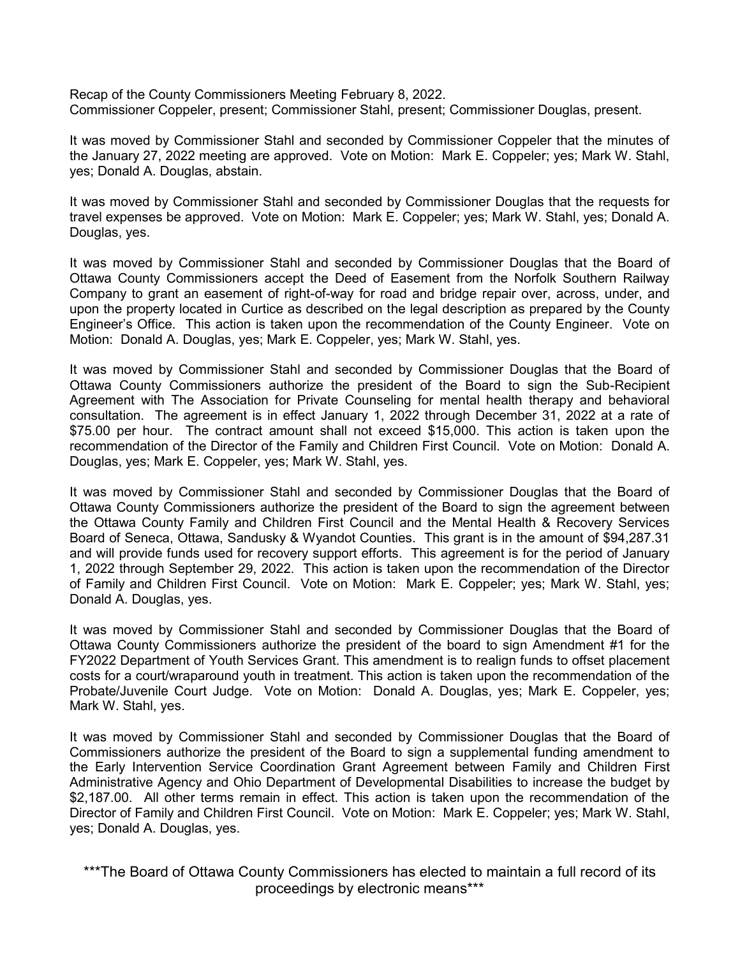Recap of the County Commissioners Meeting February 8, 2022. Commissioner Coppeler, present; Commissioner Stahl, present; Commissioner Douglas, present.

It was moved by Commissioner Stahl and seconded by Commissioner Coppeler that the minutes of the January 27, 2022 meeting are approved. Vote on Motion: Mark E. Coppeler; yes; Mark W. Stahl, yes; Donald A. Douglas, abstain.

It was moved by Commissioner Stahl and seconded by Commissioner Douglas that the requests for travel expenses be approved. Vote on Motion: Mark E. Coppeler; yes; Mark W. Stahl, yes; Donald A. Douglas, yes.

It was moved by Commissioner Stahl and seconded by Commissioner Douglas that the Board of Ottawa County Commissioners accept the Deed of Easement from the Norfolk Southern Railway Company to grant an easement of right-of-way for road and bridge repair over, across, under, and upon the property located in Curtice as described on the legal description as prepared by the County Engineer's Office. This action is taken upon the recommendation of the County Engineer. Vote on Motion: Donald A. Douglas, yes; Mark E. Coppeler, yes; Mark W. Stahl, yes.

It was moved by Commissioner Stahl and seconded by Commissioner Douglas that the Board of Ottawa County Commissioners authorize the president of the Board to sign the Sub-Recipient Agreement with The Association for Private Counseling for mental health therapy and behavioral consultation. The agreement is in effect January 1, 2022 through December 31, 2022 at a rate of \$75.00 per hour. The contract amount shall not exceed \$15,000. This action is taken upon the recommendation of the Director of the Family and Children First Council. Vote on Motion: Donald A. Douglas, yes; Mark E. Coppeler, yes; Mark W. Stahl, yes.

It was moved by Commissioner Stahl and seconded by Commissioner Douglas that the Board of Ottawa County Commissioners authorize the president of the Board to sign the agreement between the Ottawa County Family and Children First Council and the Mental Health & Recovery Services Board of Seneca, Ottawa, Sandusky & Wyandot Counties. This grant is in the amount of \$94,287.31 and will provide funds used for recovery support efforts. This agreement is for the period of January 1, 2022 through September 29, 2022. This action is taken upon the recommendation of the Director of Family and Children First Council. Vote on Motion: Mark E. Coppeler; yes; Mark W. Stahl, yes; Donald A. Douglas, yes.

It was moved by Commissioner Stahl and seconded by Commissioner Douglas that the Board of Ottawa County Commissioners authorize the president of the board to sign Amendment #1 for the FY2022 Department of Youth Services Grant. This amendment is to realign funds to offset placement costs for a court/wraparound youth in treatment. This action is taken upon the recommendation of the Probate/Juvenile Court Judge. Vote on Motion: Donald A. Douglas, yes; Mark E. Coppeler, yes; Mark W. Stahl, yes.

It was moved by Commissioner Stahl and seconded by Commissioner Douglas that the Board of Commissioners authorize the president of the Board to sign a supplemental funding amendment to the Early Intervention Service Coordination Grant Agreement between Family and Children First Administrative Agency and Ohio Department of Developmental Disabilities to increase the budget by \$2,187.00. All other terms remain in effect. This action is taken upon the recommendation of the Director of Family and Children First Council. Vote on Motion: Mark E. Coppeler; yes; Mark W. Stahl, yes; Donald A. Douglas, yes.

\*\*\*The Board of Ottawa County Commissioners has elected to maintain a full record of its proceedings by electronic means\*\*\*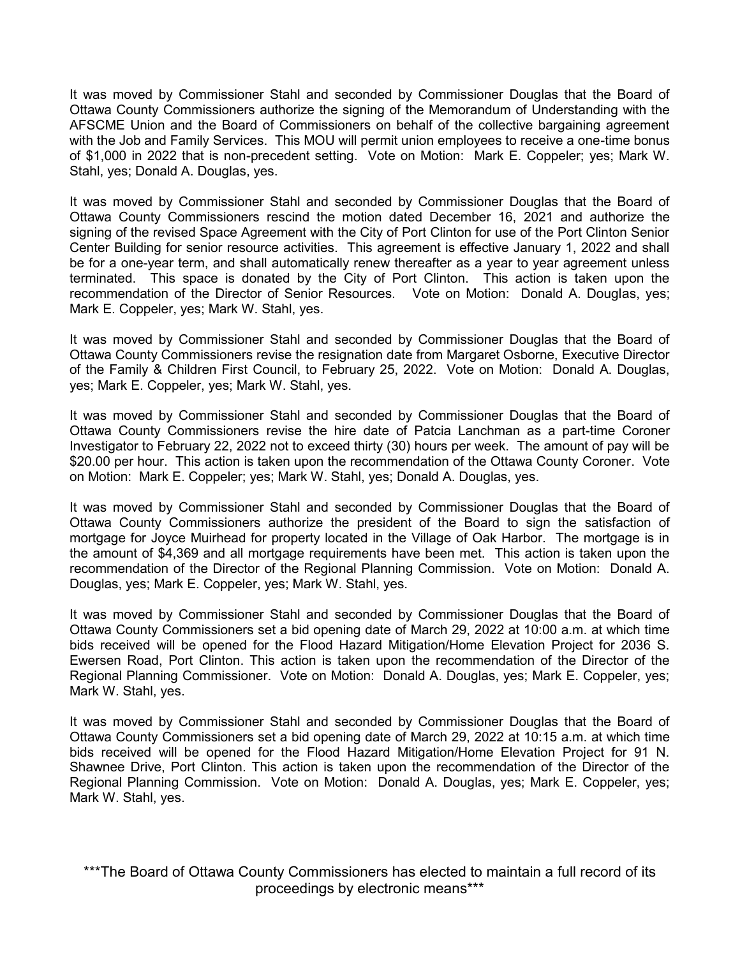It was moved by Commissioner Stahl and seconded by Commissioner Douglas that the Board of Ottawa County Commissioners authorize the signing of the Memorandum of Understanding with the AFSCME Union and the Board of Commissioners on behalf of the collective bargaining agreement with the Job and Family Services. This MOU will permit union employees to receive a one-time bonus of \$1,000 in 2022 that is non-precedent setting. Vote on Motion: Mark E. Coppeler; yes; Mark W. Stahl, yes; Donald A. Douglas, yes.

It was moved by Commissioner Stahl and seconded by Commissioner Douglas that the Board of Ottawa County Commissioners rescind the motion dated December 16, 2021 and authorize the signing of the revised Space Agreement with the City of Port Clinton for use of the Port Clinton Senior Center Building for senior resource activities. This agreement is effective January 1, 2022 and shall be for a one-year term, and shall automatically renew thereafter as a year to year agreement unless terminated. This space is donated by the City of Port Clinton. This action is taken upon the recommendation of the Director of Senior Resources. Vote on Motion: Donald A. Douglas, yes; Mark E. Coppeler, yes; Mark W. Stahl, yes.

It was moved by Commissioner Stahl and seconded by Commissioner Douglas that the Board of Ottawa County Commissioners revise the resignation date from Margaret Osborne, Executive Director of the Family & Children First Council, to February 25, 2022. Vote on Motion: Donald A. Douglas, yes; Mark E. Coppeler, yes; Mark W. Stahl, yes.

It was moved by Commissioner Stahl and seconded by Commissioner Douglas that the Board of Ottawa County Commissioners revise the hire date of Patcia Lanchman as a part-time Coroner Investigator to February 22, 2022 not to exceed thirty (30) hours per week. The amount of pay will be \$20.00 per hour. This action is taken upon the recommendation of the Ottawa County Coroner. Vote on Motion: Mark E. Coppeler; yes; Mark W. Stahl, yes; Donald A. Douglas, yes.

It was moved by Commissioner Stahl and seconded by Commissioner Douglas that the Board of Ottawa County Commissioners authorize the president of the Board to sign the satisfaction of mortgage for Joyce Muirhead for property located in the Village of Oak Harbor. The mortgage is in the amount of \$4,369 and all mortgage requirements have been met. This action is taken upon the recommendation of the Director of the Regional Planning Commission. Vote on Motion: Donald A. Douglas, yes; Mark E. Coppeler, yes; Mark W. Stahl, yes.

It was moved by Commissioner Stahl and seconded by Commissioner Douglas that the Board of Ottawa County Commissioners set a bid opening date of March 29, 2022 at 10:00 a.m. at which time bids received will be opened for the Flood Hazard Mitigation/Home Elevation Project for 2036 S. Ewersen Road, Port Clinton. This action is taken upon the recommendation of the Director of the Regional Planning Commissioner. Vote on Motion: Donald A. Douglas, yes; Mark E. Coppeler, yes; Mark W. Stahl, yes.

It was moved by Commissioner Stahl and seconded by Commissioner Douglas that the Board of Ottawa County Commissioners set a bid opening date of March 29, 2022 at 10:15 a.m. at which time bids received will be opened for the Flood Hazard Mitigation/Home Elevation Project for 91 N. Shawnee Drive, Port Clinton. This action is taken upon the recommendation of the Director of the Regional Planning Commission. Vote on Motion: Donald A. Douglas, yes; Mark E. Coppeler, yes; Mark W. Stahl, yes.

\*\*\*The Board of Ottawa County Commissioners has elected to maintain a full record of its proceedings by electronic means\*\*\*